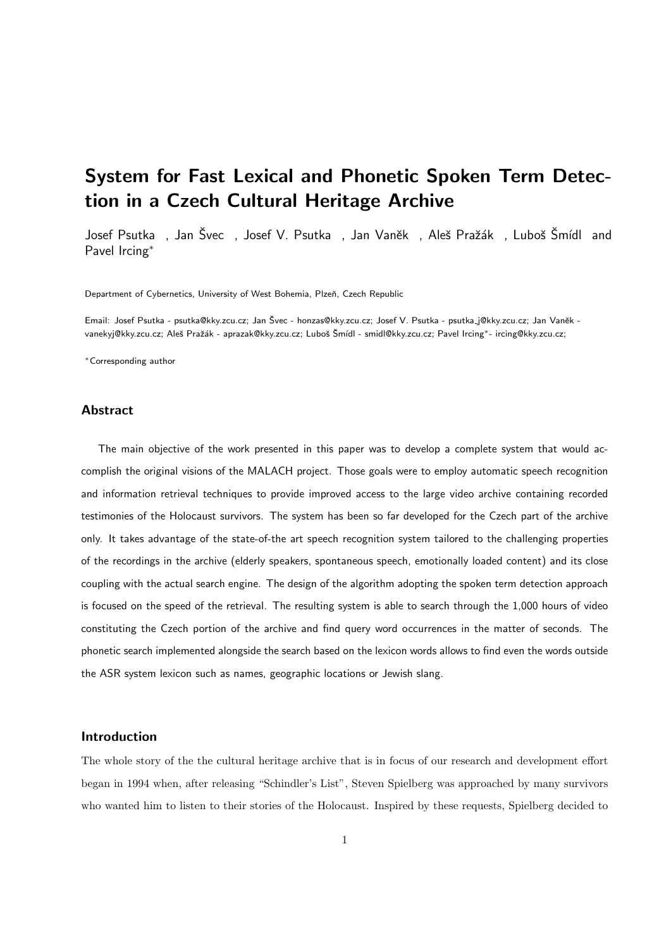# System for Fast Lexical and Phonetic Spoken Term Detection in a Czech Cultural Heritage Archive

Josef Psutka , Jan Švec , Josef V. Psutka , Jan Vaněk , Aleš Pražák , Luboš Šmídl and Pavel Ircing<sup>∗</sup>

Department of Cybernetics, University of West Bohemia, Plzeň, Czech Republic

Email: Josef Psutka - psutka@kky.zcu.cz; Jan Švec - honzas@kky.zcu.cz; Josef V. Psutka - psutka\_j@kky.zcu.cz; Jan Vaněk vanekyj@kky.zcu.cz; Aleš Pražák - aprazak@kky.zcu.cz; Luboš Šmídl - smidl@kky.zcu.cz; Pavel Ircing\*- ircing@kky.zcu.cz;

<sup>∗</sup>Corresponding author

## Abstract

The main objective of the work presented in this paper was to develop a complete system that would accomplish the original visions of the MALACH project. Those goals were to employ automatic speech recognition and information retrieval techniques to provide improved access to the large video archive containing recorded testimonies of the Holocaust survivors. The system has been so far developed for the Czech part of the archive only. It takes advantage of the state-of-the art speech recognition system tailored to the challenging properties of the recordings in the archive (elderly speakers, spontaneous speech, emotionally loaded content) and its close coupling with the actual search engine. The design of the algorithm adopting the spoken term detection approach is focused on the speed of the retrieval. The resulting system is able to search through the 1,000 hours of video constituting the Czech portion of the archive and find query word occurrences in the matter of seconds. The phonetic search implemented alongside the search based on the lexicon words allows to find even the words outside the ASR system lexicon such as names, geographic locations or Jewish slang.

## Introduction

The whole story of the the cultural heritage archive that is in focus of our research and development effort began in 1994 when, after releasing "Schindler's List", Steven Spielberg was approached by many survivors who wanted him to listen to their stories of the Holocaust. Inspired by these requests, Spielberg decided to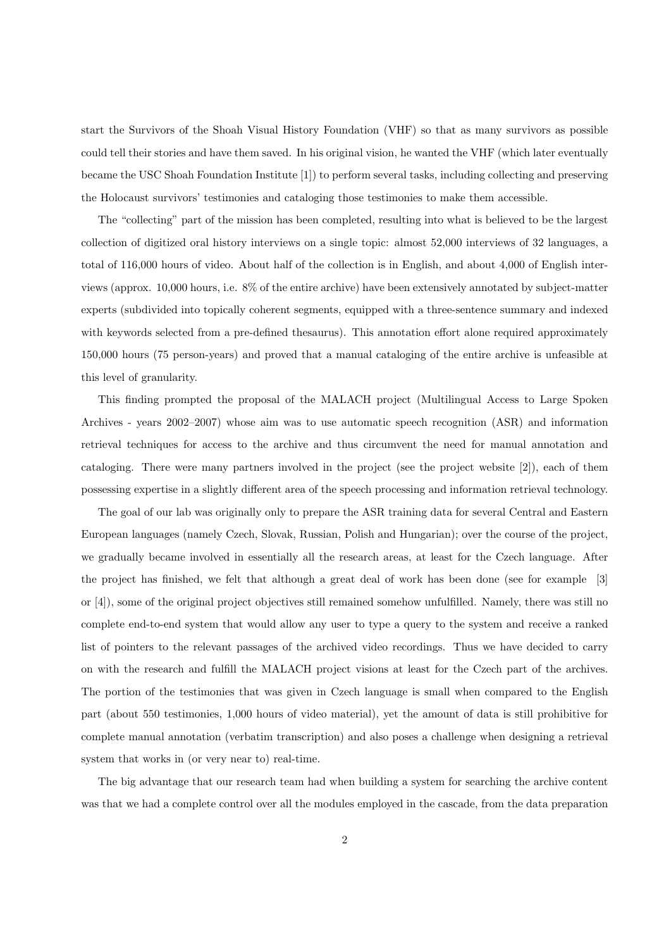start the Survivors of the Shoah Visual History Foundation (VHF) so that as many survivors as possible could tell their stories and have them saved. In his original vision, he wanted the VHF (which later eventually became the USC Shoah Foundation Institute [1]) to perform several tasks, including collecting and preserving the Holocaust survivors' testimonies and cataloging those testimonies to make them accessible.

The "collecting" part of the mission has been completed, resulting into what is believed to be the largest collection of digitized oral history interviews on a single topic: almost 52,000 interviews of 32 languages, a total of 116,000 hours of video. About half of the collection is in English, and about 4,000 of English interviews (approx. 10,000 hours, i.e. 8% of the entire archive) have been extensively annotated by subject-matter experts (subdivided into topically coherent segments, equipped with a three-sentence summary and indexed with keywords selected from a pre-defined thesaurus). This annotation effort alone required approximately 150,000 hours (75 person-years) and proved that a manual cataloging of the entire archive is unfeasible at this level of granularity.

This finding prompted the proposal of the MALACH project (Multilingual Access to Large Spoken Archives - years 2002–2007) whose aim was to use automatic speech recognition (ASR) and information retrieval techniques for access to the archive and thus circumvent the need for manual annotation and cataloging. There were many partners involved in the project (see the project website [2]), each of them possessing expertise in a slightly different area of the speech processing and information retrieval technology.

The goal of our lab was originally only to prepare the ASR training data for several Central and Eastern European languages (namely Czech, Slovak, Russian, Polish and Hungarian); over the course of the project, we gradually became involved in essentially all the research areas, at least for the Czech language. After the project has finished, we felt that although a great deal of work has been done (see for example [3] or [4]), some of the original project objectives still remained somehow unfulfilled. Namely, there was still no complete end-to-end system that would allow any user to type a query to the system and receive a ranked list of pointers to the relevant passages of the archived video recordings. Thus we have decided to carry on with the research and fulfill the MALACH project visions at least for the Czech part of the archives. The portion of the testimonies that was given in Czech language is small when compared to the English part (about 550 testimonies, 1,000 hours of video material), yet the amount of data is still prohibitive for complete manual annotation (verbatim transcription) and also poses a challenge when designing a retrieval system that works in (or very near to) real-time.

The big advantage that our research team had when building a system for searching the archive content was that we had a complete control over all the modules employed in the cascade, from the data preparation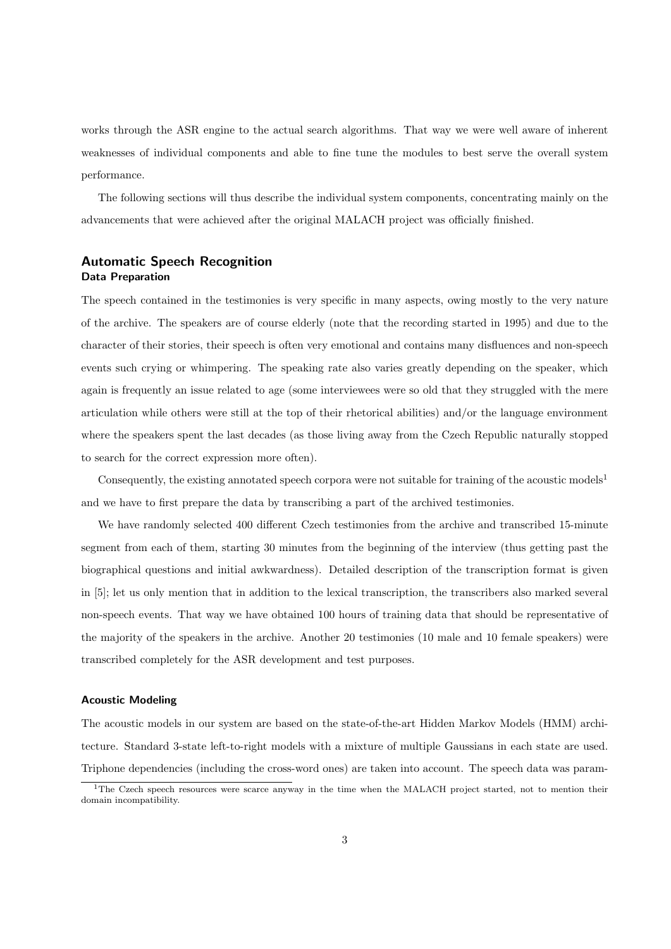works through the ASR engine to the actual search algorithms. That way we were well aware of inherent weaknesses of individual components and able to fine tune the modules to best serve the overall system performance.

The following sections will thus describe the individual system components, concentrating mainly on the advancements that were achieved after the original MALACH project was officially finished.

## Automatic Speech Recognition Data Preparation

The speech contained in the testimonies is very specific in many aspects, owing mostly to the very nature of the archive. The speakers are of course elderly (note that the recording started in 1995) and due to the character of their stories, their speech is often very emotional and contains many disfluences and non-speech events such crying or whimpering. The speaking rate also varies greatly depending on the speaker, which again is frequently an issue related to age (some interviewees were so old that they struggled with the mere articulation while others were still at the top of their rhetorical abilities) and/or the language environment where the speakers spent the last decades (as those living away from the Czech Republic naturally stopped to search for the correct expression more often).

Consequently, the existing annotated speech corpora were not suitable for training of the acoustic models<sup>1</sup> and we have to first prepare the data by transcribing a part of the archived testimonies.

We have randomly selected 400 different Czech testimonies from the archive and transcribed 15-minute segment from each of them, starting 30 minutes from the beginning of the interview (thus getting past the biographical questions and initial awkwardness). Detailed description of the transcription format is given in [5]; let us only mention that in addition to the lexical transcription, the transcribers also marked several non-speech events. That way we have obtained 100 hours of training data that should be representative of the majority of the speakers in the archive. Another 20 testimonies (10 male and 10 female speakers) were transcribed completely for the ASR development and test purposes.

## Acoustic Modeling

The acoustic models in our system are based on the state-of-the-art Hidden Markov Models (HMM) architecture. Standard 3-state left-to-right models with a mixture of multiple Gaussians in each state are used. Triphone dependencies (including the cross-word ones) are taken into account. The speech data was param-

<sup>&</sup>lt;sup>1</sup>The Czech speech resources were scarce anyway in the time when the MALACH project started, not to mention their domain incompatibility.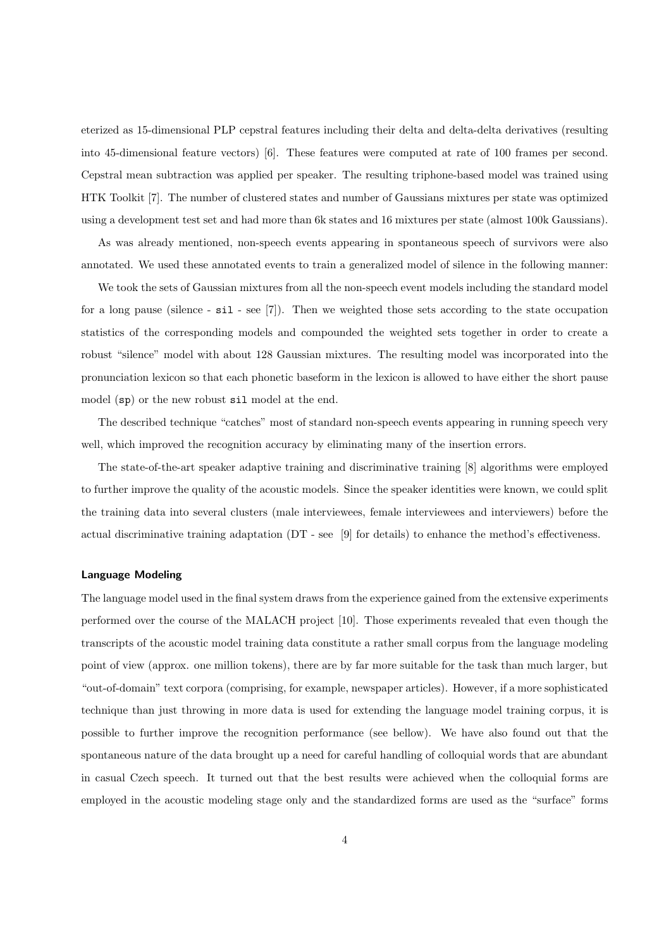eterized as 15-dimensional PLP cepstral features including their delta and delta-delta derivatives (resulting into 45-dimensional feature vectors) [6]. These features were computed at rate of 100 frames per second. Cepstral mean subtraction was applied per speaker. The resulting triphone-based model was trained using HTK Toolkit [7]. The number of clustered states and number of Gaussians mixtures per state was optimized using a development test set and had more than 6k states and 16 mixtures per state (almost 100k Gaussians).

As was already mentioned, non-speech events appearing in spontaneous speech of survivors were also annotated. We used these annotated events to train a generalized model of silence in the following manner:

We took the sets of Gaussian mixtures from all the non-speech event models including the standard model for a long pause (silence - sil - see [7]). Then we weighted those sets according to the state occupation statistics of the corresponding models and compounded the weighted sets together in order to create a robust "silence" model with about 128 Gaussian mixtures. The resulting model was incorporated into the pronunciation lexicon so that each phonetic baseform in the lexicon is allowed to have either the short pause model (sp) or the new robust sil model at the end.

The described technique "catches" most of standard non-speech events appearing in running speech very well, which improved the recognition accuracy by eliminating many of the insertion errors.

The state-of-the-art speaker adaptive training and discriminative training [8] algorithms were employed to further improve the quality of the acoustic models. Since the speaker identities were known, we could split the training data into several clusters (male interviewees, female interviewees and interviewers) before the actual discriminative training adaptation (DT - see [9] for details) to enhance the method's effectiveness.

#### Language Modeling

The language model used in the final system draws from the experience gained from the extensive experiments performed over the course of the MALACH project [10]. Those experiments revealed that even though the transcripts of the acoustic model training data constitute a rather small corpus from the language modeling point of view (approx. one million tokens), there are by far more suitable for the task than much larger, but "out-of-domain" text corpora (comprising, for example, newspaper articles). However, if a more sophisticated technique than just throwing in more data is used for extending the language model training corpus, it is possible to further improve the recognition performance (see bellow). We have also found out that the spontaneous nature of the data brought up a need for careful handling of colloquial words that are abundant in casual Czech speech. It turned out that the best results were achieved when the colloquial forms are employed in the acoustic modeling stage only and the standardized forms are used as the "surface" forms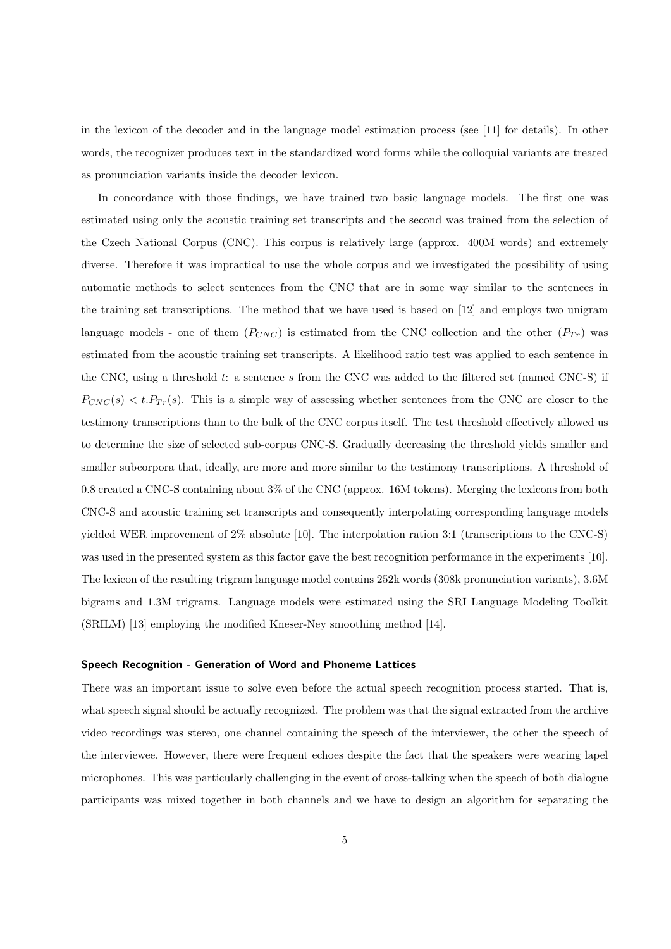in the lexicon of the decoder and in the language model estimation process (see [11] for details). In other words, the recognizer produces text in the standardized word forms while the colloquial variants are treated as pronunciation variants inside the decoder lexicon.

In concordance with those findings, we have trained two basic language models. The first one was estimated using only the acoustic training set transcripts and the second was trained from the selection of the Czech National Corpus (CNC). This corpus is relatively large (approx. 400M words) and extremely diverse. Therefore it was impractical to use the whole corpus and we investigated the possibility of using automatic methods to select sentences from the CNC that are in some way similar to the sentences in the training set transcriptions. The method that we have used is based on [12] and employs two unigram language models - one of them  $(P_{CNC})$  is estimated from the CNC collection and the other  $(P_{Tr})$  was estimated from the acoustic training set transcripts. A likelihood ratio test was applied to each sentence in the CNC, using a threshold t: a sentence s from the CNC was added to the filtered set (named CNC-S) if  $P_{CNC}(s) < t.P_{Tr}(s)$ . This is a simple way of assessing whether sentences from the CNC are closer to the testimony transcriptions than to the bulk of the CNC corpus itself. The test threshold effectively allowed us to determine the size of selected sub-corpus CNC-S. Gradually decreasing the threshold yields smaller and smaller subcorpora that, ideally, are more and more similar to the testimony transcriptions. A threshold of 0.8 created a CNC-S containing about 3% of the CNC (approx. 16M tokens). Merging the lexicons from both CNC-S and acoustic training set transcripts and consequently interpolating corresponding language models yielded WER improvement of 2% absolute [10]. The interpolation ration 3:1 (transcriptions to the CNC-S) was used in the presented system as this factor gave the best recognition performance in the experiments [10]. The lexicon of the resulting trigram language model contains 252k words (308k pronunciation variants), 3.6M bigrams and 1.3M trigrams. Language models were estimated using the SRI Language Modeling Toolkit (SRILM) [13] employing the modified Kneser-Ney smoothing method [14].

#### Speech Recognition - Generation of Word and Phoneme Lattices

There was an important issue to solve even before the actual speech recognition process started. That is, what speech signal should be actually recognized. The problem was that the signal extracted from the archive video recordings was stereo, one channel containing the speech of the interviewer, the other the speech of the interviewee. However, there were frequent echoes despite the fact that the speakers were wearing lapel microphones. This was particularly challenging in the event of cross-talking when the speech of both dialogue participants was mixed together in both channels and we have to design an algorithm for separating the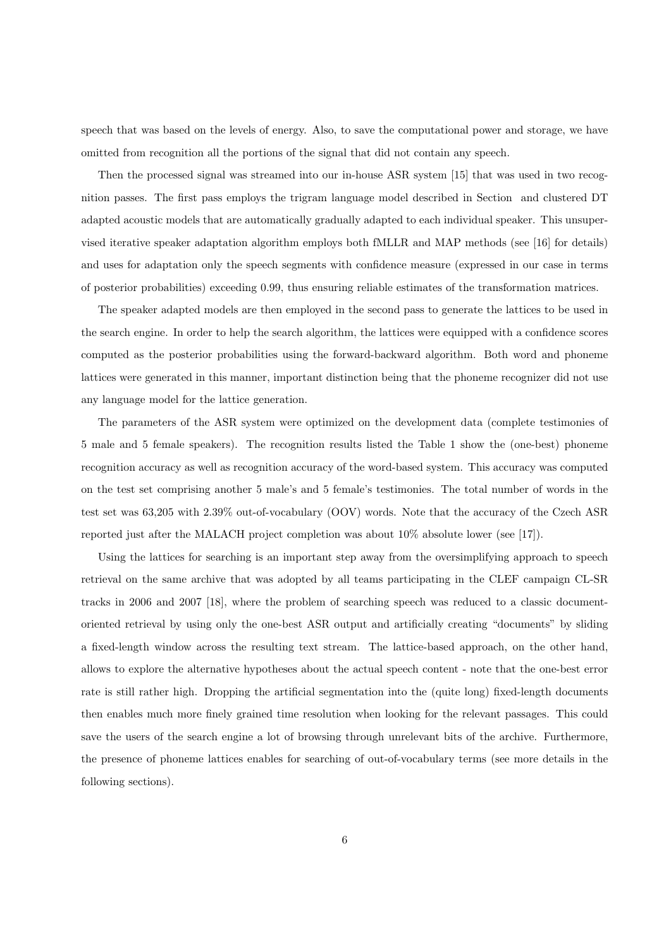speech that was based on the levels of energy. Also, to save the computational power and storage, we have omitted from recognition all the portions of the signal that did not contain any speech.

Then the processed signal was streamed into our in-house ASR system [15] that was used in two recognition passes. The first pass employs the trigram language model described in Section and clustered DT adapted acoustic models that are automatically gradually adapted to each individual speaker. This unsupervised iterative speaker adaptation algorithm employs both fMLLR and MAP methods (see [16] for details) and uses for adaptation only the speech segments with confidence measure (expressed in our case in terms of posterior probabilities) exceeding 0.99, thus ensuring reliable estimates of the transformation matrices.

The speaker adapted models are then employed in the second pass to generate the lattices to be used in the search engine. In order to help the search algorithm, the lattices were equipped with a confidence scores computed as the posterior probabilities using the forward-backward algorithm. Both word and phoneme lattices were generated in this manner, important distinction being that the phoneme recognizer did not use any language model for the lattice generation.

The parameters of the ASR system were optimized on the development data (complete testimonies of 5 male and 5 female speakers). The recognition results listed the Table 1 show the (one-best) phoneme recognition accuracy as well as recognition accuracy of the word-based system. This accuracy was computed on the test set comprising another 5 male's and 5 female's testimonies. The total number of words in the test set was 63,205 with 2.39% out-of-vocabulary (OOV) words. Note that the accuracy of the Czech ASR reported just after the MALACH project completion was about 10% absolute lower (see [17]).

Using the lattices for searching is an important step away from the oversimplifying approach to speech retrieval on the same archive that was adopted by all teams participating in the CLEF campaign CL-SR tracks in 2006 and 2007 [18], where the problem of searching speech was reduced to a classic documentoriented retrieval by using only the one-best ASR output and artificially creating "documents" by sliding a fixed-length window across the resulting text stream. The lattice-based approach, on the other hand, allows to explore the alternative hypotheses about the actual speech content - note that the one-best error rate is still rather high. Dropping the artificial segmentation into the (quite long) fixed-length documents then enables much more finely grained time resolution when looking for the relevant passages. This could save the users of the search engine a lot of browsing through unrelevant bits of the archive. Furthermore, the presence of phoneme lattices enables for searching of out-of-vocabulary terms (see more details in the following sections).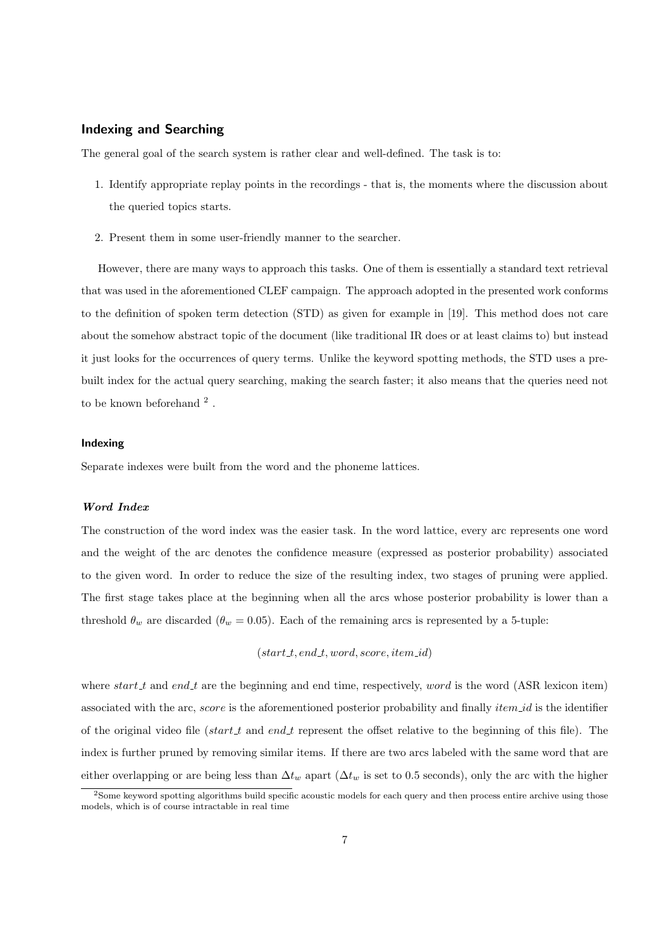# Indexing and Searching

The general goal of the search system is rather clear and well-defined. The task is to:

- 1. Identify appropriate replay points in the recordings that is, the moments where the discussion about the queried topics starts.
- 2. Present them in some user-friendly manner to the searcher.

However, there are many ways to approach this tasks. One of them is essentially a standard text retrieval that was used in the aforementioned CLEF campaign. The approach adopted in the presented work conforms to the definition of spoken term detection (STD) as given for example in [19]. This method does not care about the somehow abstract topic of the document (like traditional IR does or at least claims to) but instead it just looks for the occurrences of query terms. Unlike the keyword spotting methods, the STD uses a prebuilt index for the actual query searching, making the search faster; it also means that the queries need not to be known beforehand  $^2$  .

#### Indexing

Separate indexes were built from the word and the phoneme lattices.

## Word Index

The construction of the word index was the easier task. In the word lattice, every arc represents one word and the weight of the arc denotes the confidence measure (expressed as posterior probability) associated to the given word. In order to reduce the size of the resulting index, two stages of pruning were applied. The first stage takes place at the beginning when all the arcs whose posterior probability is lower than a threshold  $\theta_w$  are discarded ( $\theta_w = 0.05$ ). Each of the remaining arcs is represented by a 5-tuple:

 $(stat.t. end.t. word, score, item_id)$ 

where start t and end t are the beginning and end time, respectively, word is the word (ASR lexicon item) associated with the arc, score is the aforementioned posterior probability and finally *item id* is the identifier of the original video file (start t and end t represent the offset relative to the beginning of this file). The index is further pruned by removing similar items. If there are two arcs labeled with the same word that are either overlapping or are being less than  $\Delta t_w$  apart ( $\Delta t_w$  is set to 0.5 seconds), only the arc with the higher

<sup>&</sup>lt;sup>2</sup>Some keyword spotting algorithms build specific acoustic models for each query and then process entire archive using those models, which is of course intractable in real time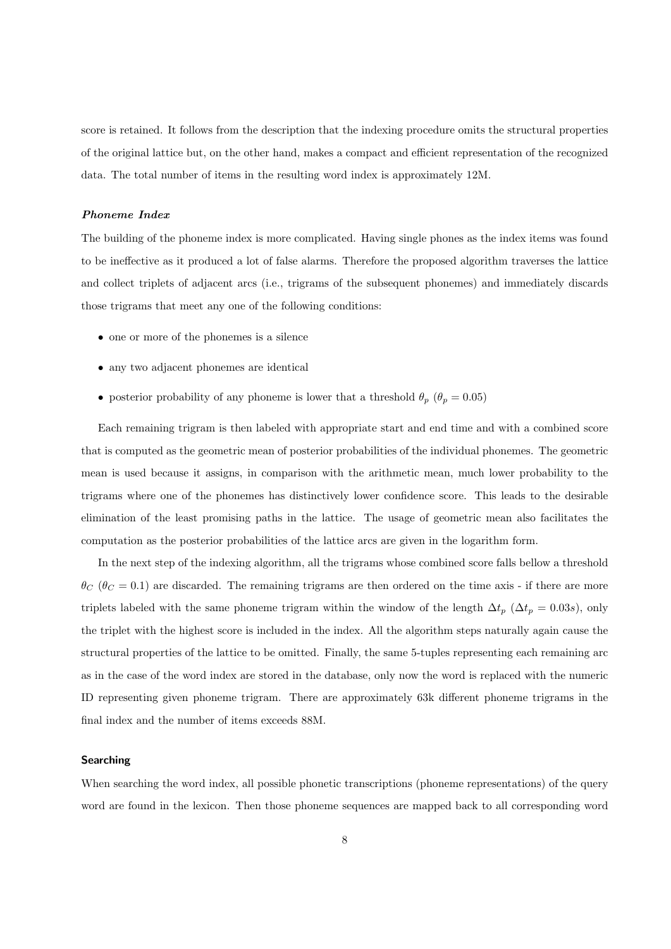score is retained. It follows from the description that the indexing procedure omits the structural properties of the original lattice but, on the other hand, makes a compact and efficient representation of the recognized data. The total number of items in the resulting word index is approximately 12M.

## Phoneme Index

The building of the phoneme index is more complicated. Having single phones as the index items was found to be ineffective as it produced a lot of false alarms. Therefore the proposed algorithm traverses the lattice and collect triplets of adjacent arcs (i.e., trigrams of the subsequent phonemes) and immediately discards those trigrams that meet any one of the following conditions:

- one or more of the phonemes is a silence
- any two adjacent phonemes are identical
- posterior probability of any phoneme is lower that a threshold  $\theta_p$  ( $\theta_p = 0.05$ )

Each remaining trigram is then labeled with appropriate start and end time and with a combined score that is computed as the geometric mean of posterior probabilities of the individual phonemes. The geometric mean is used because it assigns, in comparison with the arithmetic mean, much lower probability to the trigrams where one of the phonemes has distinctively lower confidence score. This leads to the desirable elimination of the least promising paths in the lattice. The usage of geometric mean also facilitates the computation as the posterior probabilities of the lattice arcs are given in the logarithm form.

In the next step of the indexing algorithm, all the trigrams whose combined score falls bellow a threshold  $\theta_C$  ( $\theta_C = 0.1$ ) are discarded. The remaining trigrams are then ordered on the time axis - if there are more triplets labeled with the same phoneme trigram within the window of the length  $\Delta t_p$  ( $\Delta t_p = 0.03s$ ), only the triplet with the highest score is included in the index. All the algorithm steps naturally again cause the structural properties of the lattice to be omitted. Finally, the same 5-tuples representing each remaining arc as in the case of the word index are stored in the database, only now the word is replaced with the numeric ID representing given phoneme trigram. There are approximately 63k different phoneme trigrams in the final index and the number of items exceeds 88M.

### Searching

When searching the word index, all possible phonetic transcriptions (phoneme representations) of the query word are found in the lexicon. Then those phoneme sequences are mapped back to all corresponding word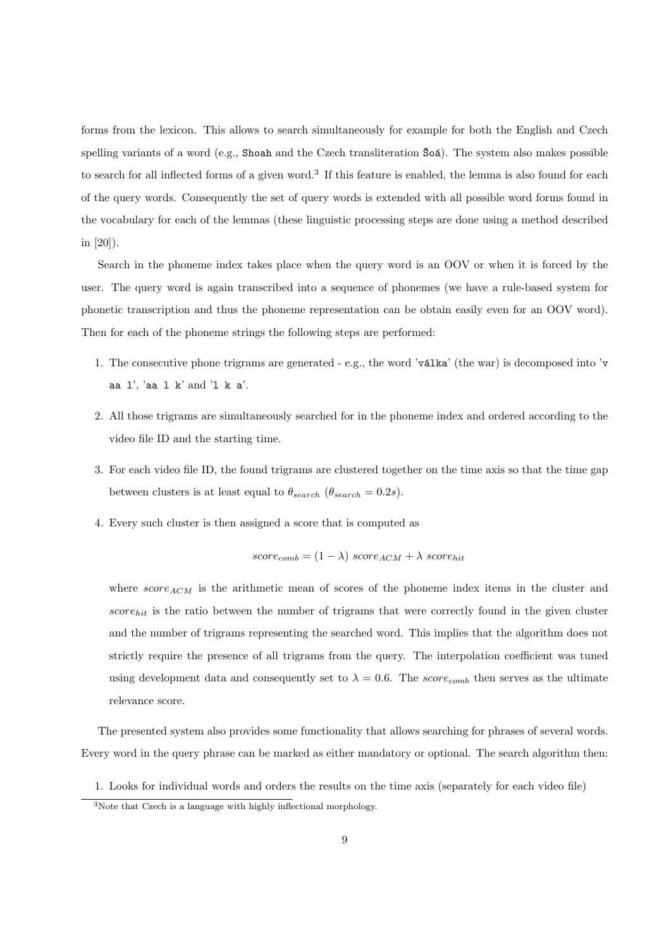forms from the lexicon. This allows to search simultaneously for example for both the English and Czech spelling variants of a word (e.g., Shoah and the Czech transliteration  $\delta \circ \delta$ ). The system also makes possible to search for all inflected forms of a given word.<sup>3</sup> If this feature is enabled, the lemma is also found for each of the query words. Consequently the set of query words is extended with all possible word forms found in the vocabulary for each of the lemmas (these linguistic processing steps are done using a method described in [20]).

Search in the phoneme index takes place when the query word is an OOV or when it is forced by the user. The query word is again transcribed into a sequence of phonemes (we have a rule-based system for phonetic transcription and thus the phoneme representation can be obtain easily even for an OOV word). Then for each of the phoneme strings the following steps are performed:

- 1. The consecutive phone trigrams are generated  $e.g.,$  the word 'v $\tilde{a}$ lka' (the war) is decomposed into 'v aa l', 'aa l k' and 'l k a'.
- 2. All those trigrams are simultaneously searched for in the phoneme index and ordered according to the video file ID and the starting time.
- 3. For each video file ID, the found trigrams are clustered together on the time axis so that the time gap between clusters is at least equal to  $\theta_{search}$  ( $\theta_{search} = 0.2s$ ).
- 4. Every such cluster is then assigned a score that is computed as

$$
score_{comb} = (1 - \lambda) \ score_{ACM} + \lambda \ score_{hit}
$$

where  $score_{ACM}$  is the arithmetic mean of scores of the phoneme index items in the cluster and  $score_{hit}$  is the ratio between the number of trigrams that were correctly found in the given cluster and the number of trigrams representing the searched word. This implies that the algorithm does not strictly require the presence of all trigrams from the query. The interpolation coefficient was tuned using development data and consequently set to  $\lambda = 0.6$ . The score<sub>comb</sub> then serves as the ultimate relevance score.

The presented system also provides some functionality that allows searching for phrases of several words. Every word in the query phrase can be marked as either mandatory or optional. The search algorithm then:

1. Looks for individual words and orders the results on the time axis (separately for each video file)

<sup>3</sup>Note that Czech is a language with highly inflectional morphology.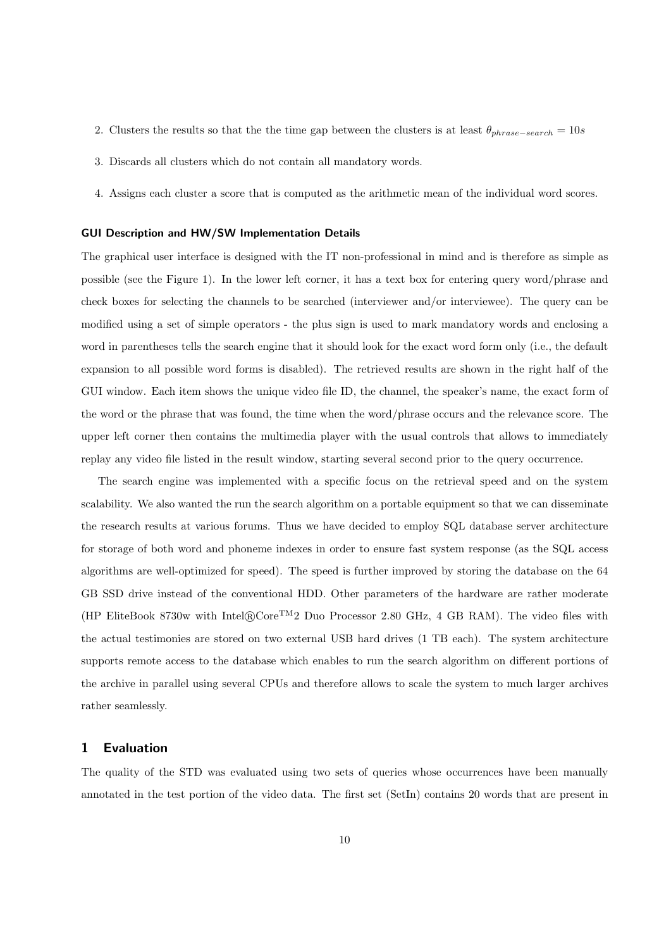- 2. Clusters the results so that the the time gap between the clusters is at least  $\theta_{phrase-search} = 10s$
- 3. Discards all clusters which do not contain all mandatory words.
- 4. Assigns each cluster a score that is computed as the arithmetic mean of the individual word scores.

#### GUI Description and HW/SW Implementation Details

The graphical user interface is designed with the IT non-professional in mind and is therefore as simple as possible (see the Figure 1). In the lower left corner, it has a text box for entering query word/phrase and check boxes for selecting the channels to be searched (interviewer and/or interviewee). The query can be modified using a set of simple operators - the plus sign is used to mark mandatory words and enclosing a word in parentheses tells the search engine that it should look for the exact word form only (i.e., the default expansion to all possible word forms is disabled). The retrieved results are shown in the right half of the GUI window. Each item shows the unique video file ID, the channel, the speaker's name, the exact form of the word or the phrase that was found, the time when the word/phrase occurs and the relevance score. The upper left corner then contains the multimedia player with the usual controls that allows to immediately replay any video file listed in the result window, starting several second prior to the query occurrence.

The search engine was implemented with a specific focus on the retrieval speed and on the system scalability. We also wanted the run the search algorithm on a portable equipment so that we can disseminate the research results at various forums. Thus we have decided to employ SQL database server architecture for storage of both word and phoneme indexes in order to ensure fast system response (as the SQL access algorithms are well-optimized for speed). The speed is further improved by storing the database on the 64 GB SSD drive instead of the conventional HDD. Other parameters of the hardware are rather moderate (HP EliteBook 8730w with Intel®Core<sup>TM</sup>2 Duo Processor 2.80 GHz, 4 GB RAM). The video files with the actual testimonies are stored on two external USB hard drives (1 TB each). The system architecture supports remote access to the database which enables to run the search algorithm on different portions of the archive in parallel using several CPUs and therefore allows to scale the system to much larger archives rather seamlessly.

# 1 Evaluation

The quality of the STD was evaluated using two sets of queries whose occurrences have been manually annotated in the test portion of the video data. The first set (SetIn) contains 20 words that are present in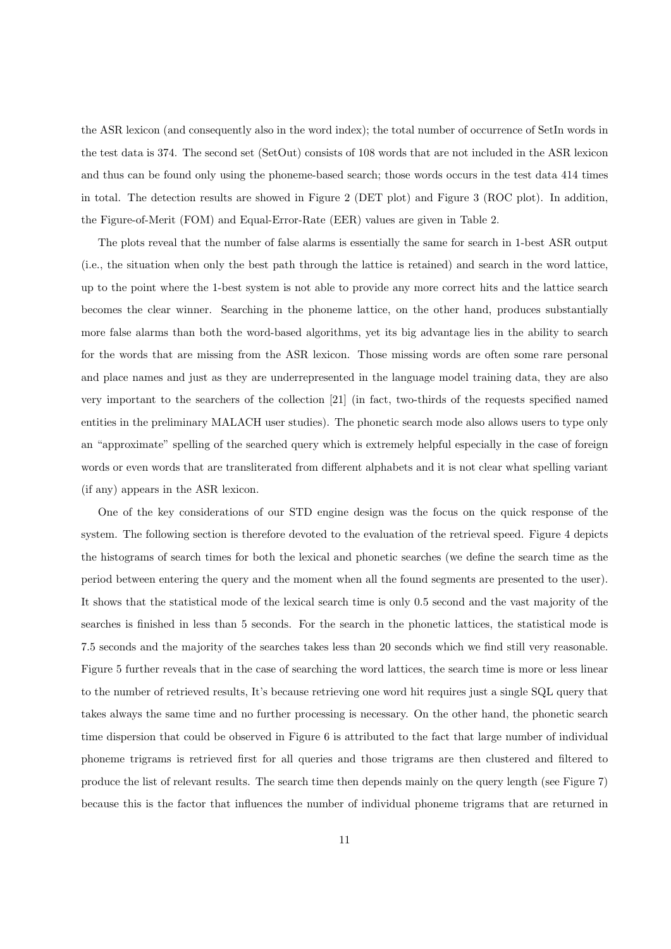the ASR lexicon (and consequently also in the word index); the total number of occurrence of SetIn words in the test data is 374. The second set (SetOut) consists of 108 words that are not included in the ASR lexicon and thus can be found only using the phoneme-based search; those words occurs in the test data 414 times in total. The detection results are showed in Figure 2 (DET plot) and Figure 3 (ROC plot). In addition, the Figure-of-Merit (FOM) and Equal-Error-Rate (EER) values are given in Table 2.

The plots reveal that the number of false alarms is essentially the same for search in 1-best ASR output (i.e., the situation when only the best path through the lattice is retained) and search in the word lattice, up to the point where the 1-best system is not able to provide any more correct hits and the lattice search becomes the clear winner. Searching in the phoneme lattice, on the other hand, produces substantially more false alarms than both the word-based algorithms, yet its big advantage lies in the ability to search for the words that are missing from the ASR lexicon. Those missing words are often some rare personal and place names and just as they are underrepresented in the language model training data, they are also very important to the searchers of the collection [21] (in fact, two-thirds of the requests specified named entities in the preliminary MALACH user studies). The phonetic search mode also allows users to type only an "approximate" spelling of the searched query which is extremely helpful especially in the case of foreign words or even words that are transliterated from different alphabets and it is not clear what spelling variant (if any) appears in the ASR lexicon.

One of the key considerations of our STD engine design was the focus on the quick response of the system. The following section is therefore devoted to the evaluation of the retrieval speed. Figure 4 depicts the histograms of search times for both the lexical and phonetic searches (we define the search time as the period between entering the query and the moment when all the found segments are presented to the user). It shows that the statistical mode of the lexical search time is only 0.5 second and the vast majority of the searches is finished in less than 5 seconds. For the search in the phonetic lattices, the statistical mode is 7.5 seconds and the majority of the searches takes less than 20 seconds which we find still very reasonable. Figure 5 further reveals that in the case of searching the word lattices, the search time is more or less linear to the number of retrieved results, It's because retrieving one word hit requires just a single SQL query that takes always the same time and no further processing is necessary. On the other hand, the phonetic search time dispersion that could be observed in Figure 6 is attributed to the fact that large number of individual phoneme trigrams is retrieved first for all queries and those trigrams are then clustered and filtered to produce the list of relevant results. The search time then depends mainly on the query length (see Figure 7) because this is the factor that influences the number of individual phoneme trigrams that are returned in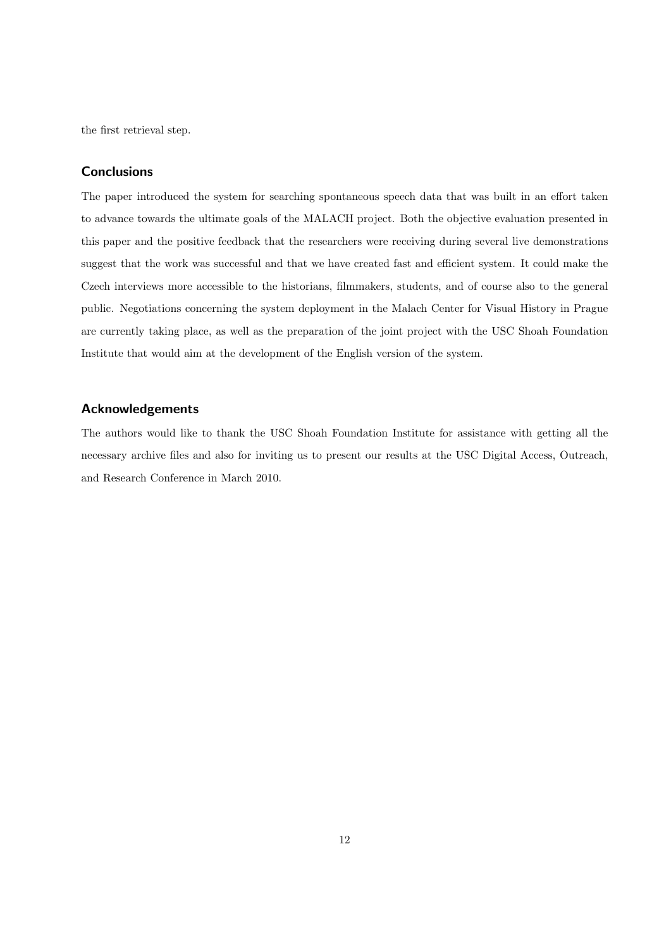the first retrieval step.

# **Conclusions**

The paper introduced the system for searching spontaneous speech data that was built in an effort taken to advance towards the ultimate goals of the MALACH project. Both the objective evaluation presented in this paper and the positive feedback that the researchers were receiving during several live demonstrations suggest that the work was successful and that we have created fast and efficient system. It could make the Czech interviews more accessible to the historians, filmmakers, students, and of course also to the general public. Negotiations concerning the system deployment in the Malach Center for Visual History in Prague are currently taking place, as well as the preparation of the joint project with the USC Shoah Foundation Institute that would aim at the development of the English version of the system.

## Acknowledgements

The authors would like to thank the USC Shoah Foundation Institute for assistance with getting all the necessary archive files and also for inviting us to present our results at the USC Digital Access, Outreach, and Research Conference in March 2010.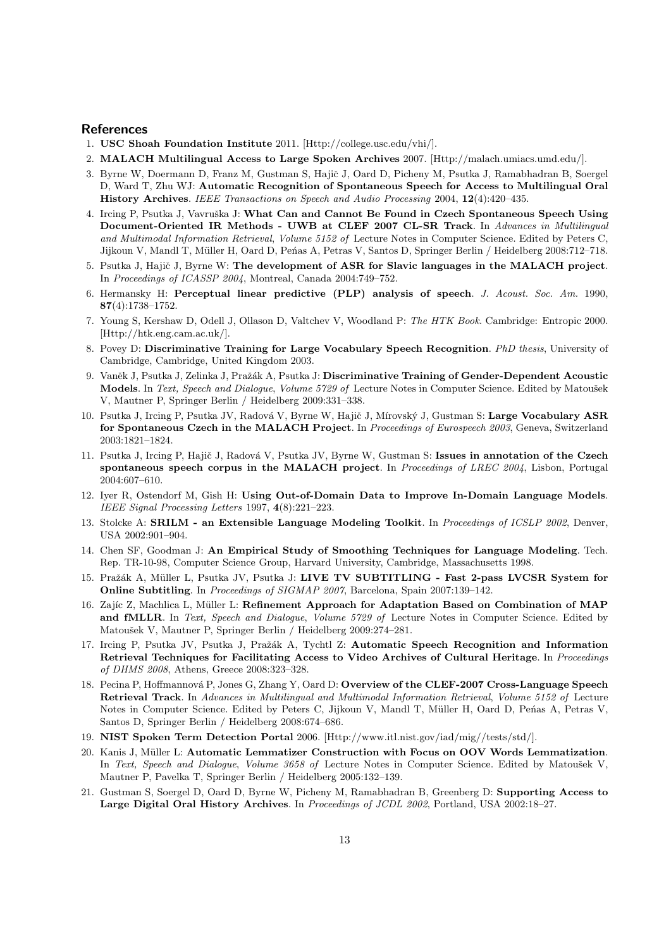### References

- 1. USC Shoah Foundation Institute 2011. [Http://college.usc.edu/vhi/].
- 2. MALACH Multilingual Access to Large Spoken Archives 2007. [Http://malach.umiacs.umd.edu/].
- 3. Byrne W, Doermann D, Franz M, Gustman S, Hajič J, Oard D, Picheny M, Psutka J, Ramabhadran B, Soergel D, Ward T, Zhu WJ: Automatic Recognition of Spontaneous Speech for Access to Multilingual Oral History Archives. IEEE Transactions on Speech and Audio Processing 2004, 12(4):420–435.
- 4. Ircing P, Psutka J, Vavruška J: What Can and Cannot Be Found in Czech Spontaneous Speech Using Document-Oriented IR Methods - UWB at CLEF 2007 CL-SR Track. In Advances in Multilingual and Multimodal Information Retrieval, Volume 5152 of Lecture Notes in Computer Science. Edited by Peters C, Jijkoun V, Mandl T, Müller H, Oard D, Peńas A, Petras V, Santos D, Springer Berlin / Heidelberg 2008:712-718.
- 5. Psutka J, Hajič J, Byrne W: The development of ASR for Slavic languages in the MALACH project. In Proceedings of ICASSP 2004, Montreal, Canada 2004:749–752.
- 6. Hermansky H: Perceptual linear predictive (PLP) analysis of speech. J. Acoust. Soc. Am. 1990, 87(4):1738–1752.
- 7. Young S, Kershaw D, Odell J, Ollason D, Valtchev V, Woodland P: The HTK Book. Cambridge: Entropic 2000. [Http://htk.eng.cam.ac.uk/].
- 8. Povey D: Discriminative Training for Large Vocabulary Speech Recognition. *PhD thesis*, University of Cambridge, Cambridge, United Kingdom 2003.
- 9. Vaněk J, Psutka J, Zelinka J, Pražák A, Psutka J: Discriminative Training of Gender-Dependent Acoustic Models. In Text, Speech and Dialogue, Volume 5729 of Lecture Notes in Computer Science. Edited by Matoušek V, Mautner P, Springer Berlin / Heidelberg 2009:331–338.
- 10. Psutka J, Ircing P, Psutka JV, Radová V, Byrne W, Hajič J, Mírovský J, Gustman S: Large Vocabulary ASR for Spontaneous Czech in the MALACH Project. In Proceedings of Eurospeech 2003, Geneva, Switzerland 2003:1821–1824.
- 11. Psutka J, Ircing P, Hajič J, Radová V, Psutka JV, Byrne W, Gustman S: Issues in annotation of the Czech spontaneous speech corpus in the MALACH project. In Proceedings of LREC 2004, Lisbon, Portugal 2004:607–610.
- 12. Iyer R, Ostendorf M, Gish H: Using Out-of-Domain Data to Improve In-Domain Language Models. IEEE Signal Processing Letters 1997, 4(8):221–223.
- 13. Stolcke A: SRILM an Extensible Language Modeling Toolkit. In Proceedings of ICSLP 2002, Denver, USA 2002:901–904.
- 14. Chen SF, Goodman J: An Empirical Study of Smoothing Techniques for Language Modeling. Tech. Rep. TR-10-98, Computer Science Group, Harvard University, Cambridge, Massachusetts 1998.
- 15. Pražák A, Müller L, Psutka JV, Psutka J: LIVE TV SUBTITLING Fast 2-pass LVCSR System for Online Subtitling. In Proceedings of SIGMAP 2007, Barcelona, Spain 2007:139–142.
- 16. Zajíc Z, Machlica L, Müller L: Refinement Approach for Adaptation Based on Combination of MAP and fMLLR. In Text, Speech and Dialogue, Volume 5729 of Lecture Notes in Computer Science. Edited by Matoušek V, Mautner P, Springer Berlin / Heidelberg 2009:274-281.
- 17. Ircing P, Psutka JV, Psutka J, Pražák A, Tychtl Z: Automatic Speech Recognition and Information Retrieval Techniques for Facilitating Access to Video Archives of Cultural Heritage. In Proceedings of DHMS 2008, Athens, Greece 2008:323–328.
- 18. Pecina P, Hoffmannová P, Jones G, Zhang Y, Oard D: Overview of the CLEF-2007 Cross-Language Speech Retrieval Track. In Advances in Multilingual and Multimodal Information Retrieval, Volume 5152 of Lecture Notes in Computer Science. Edited by Peters C, Jijkoun V, Mandl T, Müller H, Oard D, Penas A, Petras V, Santos D, Springer Berlin / Heidelberg 2008:674–686.
- 19. NIST Spoken Term Detection Portal 2006. [Http://www.itl.nist.gov/iad/mig//tests/std/].
- 20. Kanis J, Müller L: Automatic Lemmatizer Construction with Focus on OOV Words Lemmatization. In Text, Speech and Dialogue, Volume 3658 of Lecture Notes in Computer Science. Edited by Matoušek V, Mautner P, Pavelka T, Springer Berlin / Heidelberg 2005:132–139.
- 21. Gustman S, Soergel D, Oard D, Byrne W, Picheny M, Ramabhadran B, Greenberg D: Supporting Access to Large Digital Oral History Archives. In Proceedings of JCDL 2002, Portland, USA 2002:18–27.